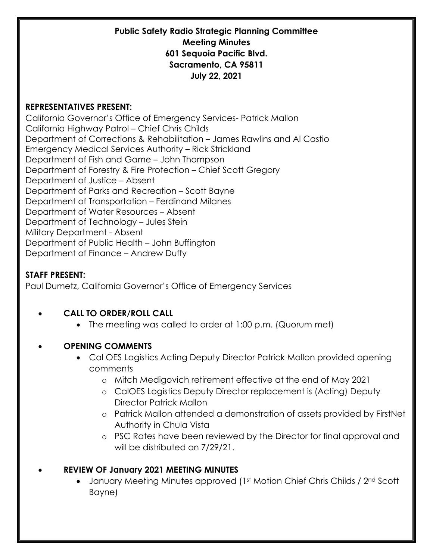#### **REPRESENTATIVES PRESENT:**

California Governor's Office of Emergency Services- Patrick Mallon California Highway Patrol – Chief Chris Childs Department of Corrections & Rehabilitation – James Rawlins and Al Castio Emergency Medical Services Authority – Rick Strickland Department of Fish and Game – John Thompson Department of Forestry & Fire Protection – Chief Scott Gregory Department of Justice – Absent Department of Parks and Recreation – Scott Bayne Department of Transportation – Ferdinand Milanes Department of Water Resources – Absent Department of Technology – Jules Stein Military Department - Absent Department of Public Health – John Buffington Department of Finance – Andrew Duffy

### **STAFF PRESENT:**

Paul Dumetz, California Governor's Office of Emergency Services

### • **CALL TO ORDER/ROLL CALL**

• The meeting was called to order at 1:00 p.m. (Quorum met)

### • **OPENING COMMENTS**

- Cal OES Logistics Acting Deputy Director Patrick Mallon provided opening comments
	- o Mitch Medigovich retirement effective at the end of May 2021
	- o CalOES Logistics Deputy Director replacement is (Acting) Deputy Director Patrick Mallon
	- o Patrick Mallon attended a demonstration of assets provided by FirstNet Authority in Chula Vista
	- o PSC Rates have been reviewed by the Director for final approval and will be distributed on 7/29/21.

### • **REVIEW OF January 2021 MEETING MINUTES**

• January Meeting Minutes approved (1st Motion Chief Chris Childs / 2nd Scott Bayne)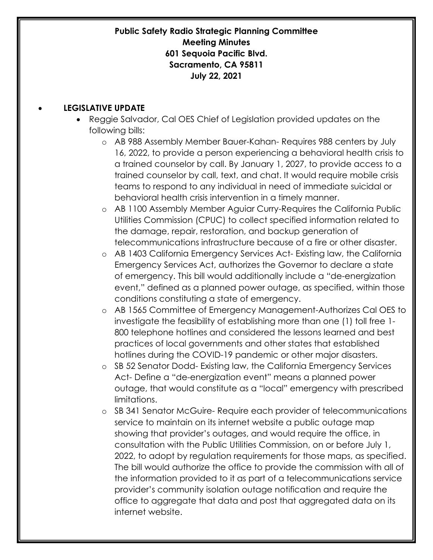#### • **LEGISLATIVE UPDATE**

- Reggie Salvador, Cal OES Chief of Legislation provided updates on the following bills:
	- o AB 988 Assembly Member Bauer-Kahan- Requires 988 centers by July 16, 2022, to provide a person experiencing a behavioral health crisis to a trained counselor by call. By January 1, 2027, to provide access to a trained counselor by call, text, and chat. It would require mobile crisis teams to respond to any individual in need of immediate suicidal or behavioral health crisis intervention in a timely manner.
	- o AB 1100 Assembly Member Aguiar Curry-Requires the California Public Utilities Commission (CPUC) to collect specified information related to the damage, repair, restoration, and backup generation of telecommunications infrastructure because of a fire or other disaster.
	- o AB 1403 California Emergency Services Act- Existing law, the California Emergency Services Act, authorizes the Governor to declare a state of emergency. This bill would additionally include a "de-energization event," defined as a planned power outage, as specified, within those conditions constituting a state of emergency.
	- o AB 1565 Committee of Emergency Management-Authorizes Cal OES to investigate the feasibility of establishing more than one (1) toll free 1- 800 telephone hotlines and considered the lessons learned and best practices of local governments and other states that established hotlines during the COVID-19 pandemic or other major disasters.
	- o SB 52 Senator Dodd- Existing law, the California Emergency Services Act- Define a "de-energization event" means a planned power outage, that would constitute as a "local" emergency with prescribed limitations.
	- o SB 341 Senator McGuire- Require each provider of telecommunications service to maintain on its internet website a public outage map showing that provider's outages, and would require the office, in consultation with the Public Utilities Commission, on or before July 1, 2022, to adopt by regulation requirements for those maps, as specified. The bill would authorize the office to provide the commission with all of the information provided to it as part of a telecommunications service provider's community isolation outage notification and require the office to aggregate that data and post that aggregated data on its internet website.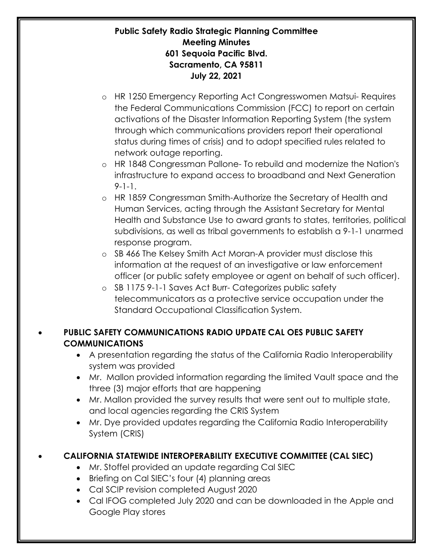- o HR 1250 Emergency Reporting Act Congresswomen Matsui- Requires the Federal Communications Commission (FCC) to report on certain activations of the Disaster Information Reporting System (the system through which communications providers report their operational status during times of crisis) and to adopt specified rules related to network outage reporting.
- o HR 1848 Congressman Pallone- To rebuild and modernize the Nation's infrastructure to expand access to broadband and Next Generation 9-1-1.
- o HR 1859 Congressman Smith-Authorize the Secretary of Health and Human Services, acting through the Assistant Secretary for Mental Health and Substance Use to award grants to states, territories, political subdivisions, as well as tribal governments to establish a 9-1-1 unarmed response program.
- o SB 466 The Kelsey Smith Act Moran-A provider must disclose this information at the request of an investigative or law enforcement officer (or public safety employee or agent on behalf of such officer).
- o SB 1175 9-1-1 Saves Act Burr- Categorizes public safety telecommunicators as a protective service occupation under the Standard Occupational Classification System.

# • **PUBLIC SAFETY COMMUNICATIONS RADIO UPDATE CAL OES PUBLIC SAFETY COMMUNICATIONS**

- A presentation regarding the status of the California Radio Interoperability system was provided
- Mr. Mallon provided information regarding the limited Vault space and the three (3) major efforts that are happening
- Mr. Mallon provided the survey results that were sent out to multiple state, and local agencies regarding the CRIS System
- Mr. Dye provided updates regarding the California Radio Interoperability System (CRIS)

# • **CALIFORNIA STATEWIDE INTEROPERABILITY EXECUTIVE COMMITTEE (CAL SIEC)**

- Mr. Stoffel provided an update regarding Cal SIEC
- Briefing on Cal SIEC's four (4) planning areas
- Cal SCIP revision completed August 2020
- Cal IFOG completed July 2020 and can be downloaded in the Apple and Google Play stores